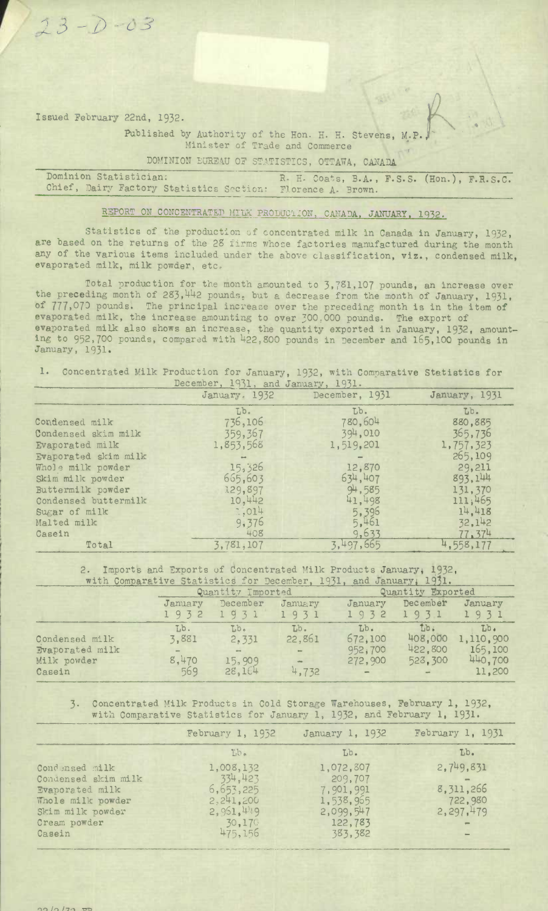Issued February 22nd, 1932.

 $23 - 0 - 03$ 

Published by Authority of the Hon. H. H. Stevens, M.P. Minister of Trade and Commerce

DOMINION EUREAU OF STATISTICS, OTTAWA, CANADA

Dominion Statistician: R. H. Coats, B.A., F.S.S. (Hon.), F.R.S.C.<br>Chief, Dairy Factory Statistics Section: Florence A. Brown. Chief, Dairy Factory Statistics Section:

## REPORT ON CONCENTRATED MILK PRODUCTION, CANADA, JANUARY, 1932.

Statistics of the production of concentrated milk in Canada in January, 1932, are based on the returns of the 28 firms whose factories manufactured during the month any of the various items included under the above classification, **viz.,** condensed milk, evaporated milk, milk powder, etc

Total production for the month amounted to 3,781,107 pounds, an increase over the preceding month of 285,442 pounds, but a decrease from the month of January, 1931, of 777,070 pounds. The principal increase over the preceding month is in the item of evaporated milk, the increase amounting to over 300.000 pounds. The export of evaporated milk also shows an increase, the quantity exported in January, 1932, amounting to 952,700 pounds, compared with 1422,800 pounds in December and 165,100 pounds in January, 1931.

## 1. Concentrated Milk Production for January, 1932, with Comparative Statistics for

|                      | December, 1951, and January, 1931. |                |               |  |  |
|----------------------|------------------------------------|----------------|---------------|--|--|
|                      | January. 1932                      | December, 1931 | January, 1931 |  |  |
|                      | Lb.                                | Lb.            | Lb.           |  |  |
| Condensed milk       | 736,106                            | 780,604        | 880,885       |  |  |
| Condensed skim milk  | 359, 367                           | 394,010        | 365,736       |  |  |
| Evaporated milk      | 1,853,568                          | 1,519,201      | 1,757,323     |  |  |
| Evaporated skim milk |                                    |                | 265,109       |  |  |
| Whole milk powder    | 15,326                             | 12,870         | 29,211        |  |  |
| Skim milk powder     | 665,603                            | 634,407        | 893, 144      |  |  |
| Buttermilk powder    | 129,897                            | 94,585         | 131,370       |  |  |
| Condensed buttermilk | 10,442                             | 41,498         | 111,465       |  |  |
| Sugar of milk        | 1,014                              | 5,396          | 14,418        |  |  |
| Malted milk          | 9,376                              | 5,461          | 32,142        |  |  |
| Casein               | 408                                | 9,633          | 77, 374       |  |  |
| Total                | 3,781,107                          | 3,497,665      | 4,558,177     |  |  |

2. Imports and Exports of Concentrated Milk Products January, 1932, with Comparative Statistics for December, 1931, and January, 1931.

|                                                                   |                              | Quantity Imported                         |                                                   |                                                                  | Quantity Exported                                 |                                                  |  |
|-------------------------------------------------------------------|------------------------------|-------------------------------------------|---------------------------------------------------|------------------------------------------------------------------|---------------------------------------------------|--------------------------------------------------|--|
|                                                                   | January<br>1932              | December<br>1931                          | January<br>1931                                   | January<br>1932                                                  | December<br>1931                                  | January<br>1931                                  |  |
| Condensed milk<br><b>Evaporated milk</b><br>Milk powder<br>Casein | Lb.<br>3,881<br>8,470<br>569 | Lb.<br>2,331<br>and .<br>15,909<br>28,164 | Lb.<br>22,861<br>$\sim$<br>$\frac{1}{2}$<br>4,732 | Lb.<br>672,100<br>952,700<br>272,900<br>$\overline{\phantom{m}}$ | Tib <sub>i</sub><br>408,000<br>422,800<br>523,300 | Lb.<br>1,110,900<br>165,100<br>440,700<br>11,200 |  |

3. Concentrated Milk Products in Cold Storage Warehouses, February 1, 1932, with Comparative Statistics for January 1, 1932, and February 1, 1931-

|                     | February 1, 1952 | January 1, 1932 | February 1, 1931 |  |
|---------------------|------------------|-----------------|------------------|--|
|                     | Lb.              | Lb.             | Lb.              |  |
| Condensed milk      | 1,008,132        | 1,072,807       | 2,749,831        |  |
| Condensed skim milk | 334,423          | 209,707         |                  |  |
| Evaporated milk     | 6, 653, 225      | 7,901,991       | 8, 311, 266      |  |
| Whole milk powder   | 2,241,200        | 1,538,965       | 722,980          |  |
| Skim milk powder    | 2,951,449        | 2,099,547       | 2, 297, 479      |  |
| Cream powder        | 30,170           | 122,783         | $\equiv$         |  |
| Casein              | 475,156          | 383, 382        |                  |  |